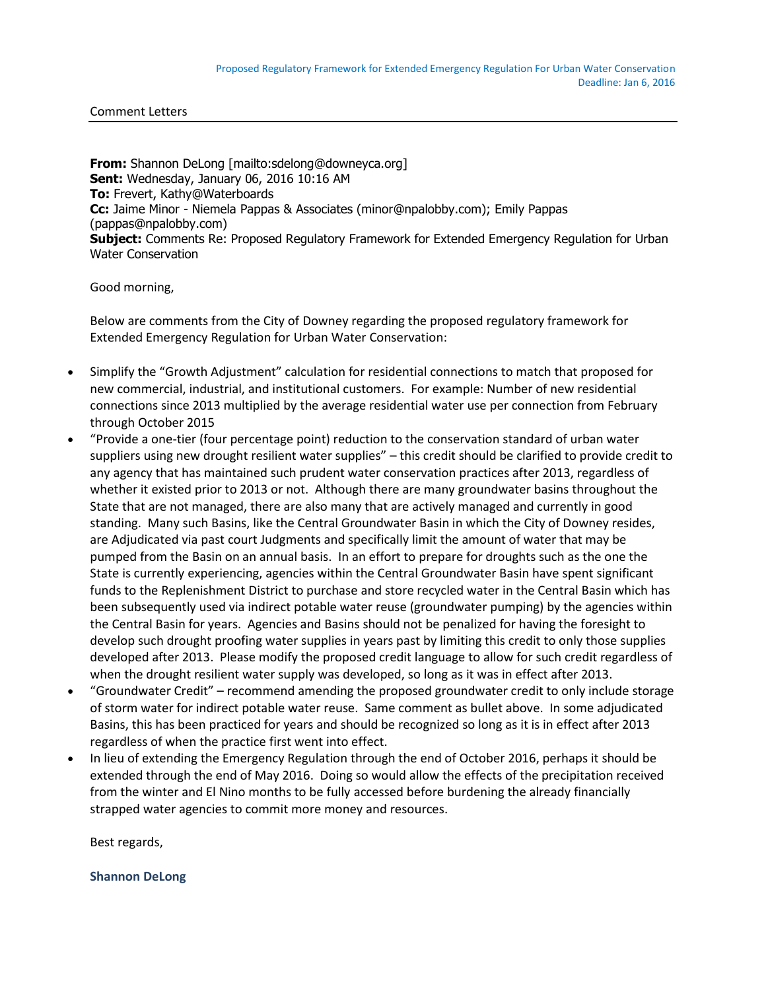Comment Letters

**From:** Shannon DeLong [mailto:sdelong@downeyca.org] **Sent:** Wednesday, January 06, 2016 10:16 AM **To:** Frevert, Kathy@Waterboards **Cc:** Jaime Minor - Niemela Pappas & Associates (minor@npalobby.com); Emily Pappas (pappas@npalobby.com) **Subject:** Comments Re: Proposed Regulatory Framework for Extended Emergency Regulation for Urban Water Conservation

Good morning,

Below are comments from the City of Downey regarding the proposed regulatory framework for Extended Emergency Regulation for Urban Water Conservation:

- Simplify the "Growth Adjustment" calculation for residential connections to match that proposed for new commercial, industrial, and institutional customers. For example: Number of new residential connections since 2013 multiplied by the average residential water use per connection from February through October 2015
- "Provide a one-tier (four percentage point) reduction to the conservation standard of urban water suppliers using new drought resilient water supplies" – this credit should be clarified to provide credit to any agency that has maintained such prudent water conservation practices after 2013, regardless of whether it existed prior to 2013 or not. Although there are many groundwater basins throughout the State that are not managed, there are also many that are actively managed and currently in good standing. Many such Basins, like the Central Groundwater Basin in which the City of Downey resides, are Adjudicated via past court Judgments and specifically limit the amount of water that may be pumped from the Basin on an annual basis. In an effort to prepare for droughts such as the one the State is currently experiencing, agencies within the Central Groundwater Basin have spent significant funds to the Replenishment District to purchase and store recycled water in the Central Basin which has been subsequently used via indirect potable water reuse (groundwater pumping) by the agencies within the Central Basin for years. Agencies and Basins should not be penalized for having the foresight to develop such drought proofing water supplies in years past by limiting this credit to only those supplies developed after 2013. Please modify the proposed credit language to allow for such credit regardless of when the drought resilient water supply was developed, so long as it was in effect after 2013.
- "Groundwater Credit" recommend amending the proposed groundwater credit to only include storage of storm water for indirect potable water reuse. Same comment as bullet above. In some adjudicated Basins, this has been practiced for years and should be recognized so long as it is in effect after 2013 regardless of when the practice first went into effect.
- In lieu of extending the Emergency Regulation through the end of October 2016, perhaps it should be extended through the end of May 2016. Doing so would allow the effects of the precipitation received from the winter and El Nino months to be fully accessed before burdening the already financially strapped water agencies to commit more money and resources.

Best regards,

**Shannon DeLong**